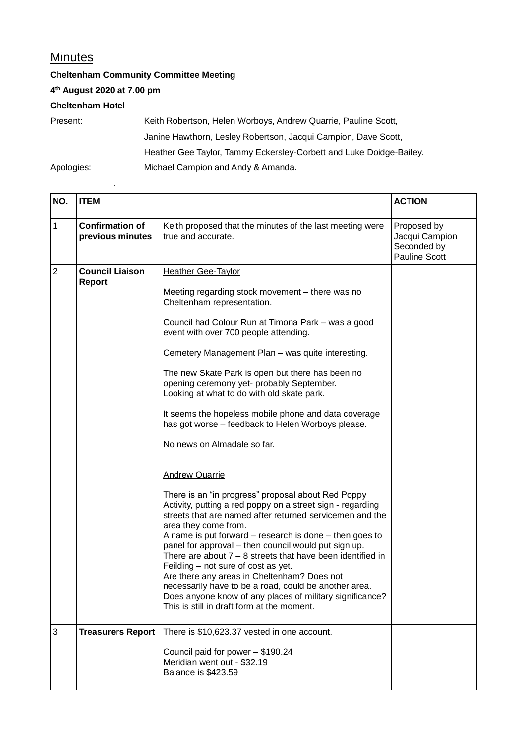## **Minutes**

**Cheltenham Community Committee Meeting**

**4 th August 2020 at 7.00 pm**

.

**Cheltenham Hotel**

Present: Keith Robertson, Helen Worboys, Andrew Quarrie, Pauline Scott, Janine Hawthorn, Lesley Robertson, Jacqui Campion, Dave Scott, Heather Gee Taylor, Tammy Eckersley-Corbett and Luke Doidge-Bailey. Apologies: Michael Campion and Andy & Amanda.

| NO.         | <b>ITEM</b>                                |                                                                                                                                                                                                                                                                                                                                                                                                                                                                                                                                                                                                                                                                                                                                                                                                                                                                                                                                                                                                                                                                                                                                                                                                                                        | <b>ACTION</b>                                                        |
|-------------|--------------------------------------------|----------------------------------------------------------------------------------------------------------------------------------------------------------------------------------------------------------------------------------------------------------------------------------------------------------------------------------------------------------------------------------------------------------------------------------------------------------------------------------------------------------------------------------------------------------------------------------------------------------------------------------------------------------------------------------------------------------------------------------------------------------------------------------------------------------------------------------------------------------------------------------------------------------------------------------------------------------------------------------------------------------------------------------------------------------------------------------------------------------------------------------------------------------------------------------------------------------------------------------------|----------------------------------------------------------------------|
| $\mathbf 1$ | <b>Confirmation of</b><br>previous minutes | Keith proposed that the minutes of the last meeting were<br>true and accurate.                                                                                                                                                                                                                                                                                                                                                                                                                                                                                                                                                                                                                                                                                                                                                                                                                                                                                                                                                                                                                                                                                                                                                         | Proposed by<br>Jacqui Campion<br>Seconded by<br><b>Pauline Scott</b> |
| $\sqrt{2}$  | <b>Council Liaison</b><br>Report           | <b>Heather Gee-Taylor</b><br>Meeting regarding stock movement – there was no<br>Cheltenham representation.<br>Council had Colour Run at Timona Park - was a good<br>event with over 700 people attending.<br>Cemetery Management Plan - was quite interesting.<br>The new Skate Park is open but there has been no<br>opening ceremony yet- probably September.<br>Looking at what to do with old skate park.<br>It seems the hopeless mobile phone and data coverage<br>has got worse - feedback to Helen Worboys please.<br>No news on Almadale so far.<br><b>Andrew Quarrie</b><br>There is an "in progress" proposal about Red Poppy<br>Activity, putting a red poppy on a street sign - regarding<br>streets that are named after returned servicemen and the<br>area they come from.<br>A name is put forward – research is done – then goes to<br>panel for approval - then council would put sign up.<br>There are about $7 - 8$ streets that have been identified in<br>Feilding - not sure of cost as yet.<br>Are there any areas in Cheltenham? Does not<br>necessarily have to be a road, could be another area.<br>Does anyone know of any places of military significance?<br>This is still in draft form at the moment. |                                                                      |
| 3           | <b>Treasurers Report</b>                   | There is \$10,623.37 vested in one account.<br>Council paid for power - \$190.24<br>Meridian went out - \$32.19<br><b>Balance is \$423.59</b>                                                                                                                                                                                                                                                                                                                                                                                                                                                                                                                                                                                                                                                                                                                                                                                                                                                                                                                                                                                                                                                                                          |                                                                      |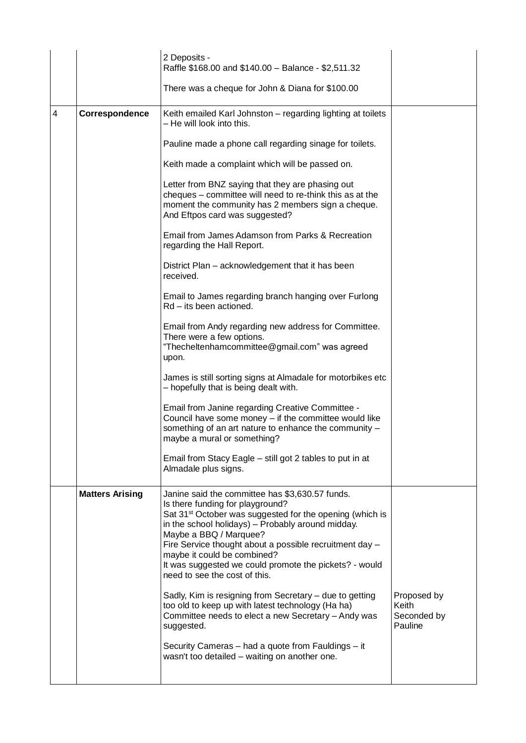| There was a cheque for John & Diana for \$100.00<br>$\overline{4}$<br>Correspondence<br>Keith emailed Karl Johnston - regarding lighting at toilets<br>- He will look into this.<br>Pauline made a phone call regarding sinage for toilets.<br>Keith made a complaint which will be passed on.<br>Letter from BNZ saying that they are phasing out<br>cheques – committee will need to re-think this as at the<br>moment the community has 2 members sign a cheque.<br>And Eftpos card was suggested?<br>Email from James Adamson from Parks & Recreation<br>regarding the Hall Report.<br>District Plan – acknowledgement that it has been<br>received.<br>Email to James regarding branch hanging over Furlong<br>Rd - its been actioned.<br>Email from Andy regarding new address for Committee.<br>There were a few options.<br>"Thecheltenhamcommittee@gmail.com" was agreed<br>upon.<br>James is still sorting signs at Almadale for motorbikes etc<br>- hopefully that is being dealt with.<br>Email from Janine regarding Creative Committee -<br>Council have some money - if the committee would like<br>something of an art nature to enhance the community -<br>maybe a mural or something?<br>Email from Stacy Eagle - still got 2 tables to put in at<br>Almadale plus signs.<br><b>Matters Arising</b><br>Janine said the committee has \$3,630.57 funds.<br>Is there funding for playground? |  | 2 Deposits -<br>Raffle \$168.00 and \$140.00 - Balance - \$2,511.32  |  |
|--------------------------------------------------------------------------------------------------------------------------------------------------------------------------------------------------------------------------------------------------------------------------------------------------------------------------------------------------------------------------------------------------------------------------------------------------------------------------------------------------------------------------------------------------------------------------------------------------------------------------------------------------------------------------------------------------------------------------------------------------------------------------------------------------------------------------------------------------------------------------------------------------------------------------------------------------------------------------------------------------------------------------------------------------------------------------------------------------------------------------------------------------------------------------------------------------------------------------------------------------------------------------------------------------------------------------------------------------------------------------------------------------------------|--|----------------------------------------------------------------------|--|
|                                                                                                                                                                                                                                                                                                                                                                                                                                                                                                                                                                                                                                                                                                                                                                                                                                                                                                                                                                                                                                                                                                                                                                                                                                                                                                                                                                                                              |  |                                                                      |  |
|                                                                                                                                                                                                                                                                                                                                                                                                                                                                                                                                                                                                                                                                                                                                                                                                                                                                                                                                                                                                                                                                                                                                                                                                                                                                                                                                                                                                              |  |                                                                      |  |
|                                                                                                                                                                                                                                                                                                                                                                                                                                                                                                                                                                                                                                                                                                                                                                                                                                                                                                                                                                                                                                                                                                                                                                                                                                                                                                                                                                                                              |  |                                                                      |  |
|                                                                                                                                                                                                                                                                                                                                                                                                                                                                                                                                                                                                                                                                                                                                                                                                                                                                                                                                                                                                                                                                                                                                                                                                                                                                                                                                                                                                              |  |                                                                      |  |
|                                                                                                                                                                                                                                                                                                                                                                                                                                                                                                                                                                                                                                                                                                                                                                                                                                                                                                                                                                                                                                                                                                                                                                                                                                                                                                                                                                                                              |  |                                                                      |  |
|                                                                                                                                                                                                                                                                                                                                                                                                                                                                                                                                                                                                                                                                                                                                                                                                                                                                                                                                                                                                                                                                                                                                                                                                                                                                                                                                                                                                              |  |                                                                      |  |
|                                                                                                                                                                                                                                                                                                                                                                                                                                                                                                                                                                                                                                                                                                                                                                                                                                                                                                                                                                                                                                                                                                                                                                                                                                                                                                                                                                                                              |  |                                                                      |  |
|                                                                                                                                                                                                                                                                                                                                                                                                                                                                                                                                                                                                                                                                                                                                                                                                                                                                                                                                                                                                                                                                                                                                                                                                                                                                                                                                                                                                              |  |                                                                      |  |
|                                                                                                                                                                                                                                                                                                                                                                                                                                                                                                                                                                                                                                                                                                                                                                                                                                                                                                                                                                                                                                                                                                                                                                                                                                                                                                                                                                                                              |  |                                                                      |  |
|                                                                                                                                                                                                                                                                                                                                                                                                                                                                                                                                                                                                                                                                                                                                                                                                                                                                                                                                                                                                                                                                                                                                                                                                                                                                                                                                                                                                              |  |                                                                      |  |
|                                                                                                                                                                                                                                                                                                                                                                                                                                                                                                                                                                                                                                                                                                                                                                                                                                                                                                                                                                                                                                                                                                                                                                                                                                                                                                                                                                                                              |  |                                                                      |  |
|                                                                                                                                                                                                                                                                                                                                                                                                                                                                                                                                                                                                                                                                                                                                                                                                                                                                                                                                                                                                                                                                                                                                                                                                                                                                                                                                                                                                              |  |                                                                      |  |
|                                                                                                                                                                                                                                                                                                                                                                                                                                                                                                                                                                                                                                                                                                                                                                                                                                                                                                                                                                                                                                                                                                                                                                                                                                                                                                                                                                                                              |  |                                                                      |  |
| in the school holidays) - Probably around midday.<br>Maybe a BBQ / Marquee?<br>Fire Service thought about a possible recruitment day -<br>maybe it could be combined?<br>It was suggested we could promote the pickets? - would<br>need to see the cost of this.                                                                                                                                                                                                                                                                                                                                                                                                                                                                                                                                                                                                                                                                                                                                                                                                                                                                                                                                                                                                                                                                                                                                             |  | Sat 31 <sup>st</sup> October was suggested for the opening (which is |  |
| Sadly, Kim is resigning from Secretary - due to getting<br>Proposed by<br>too old to keep up with latest technology (Ha ha)<br>Keith<br>Committee needs to elect a new Secretary - Andy was<br>Seconded by<br>Pauline<br>suggested.                                                                                                                                                                                                                                                                                                                                                                                                                                                                                                                                                                                                                                                                                                                                                                                                                                                                                                                                                                                                                                                                                                                                                                          |  |                                                                      |  |
| Security Cameras - had a quote from Fauldings - it<br>wasn't too detailed - waiting on another one.                                                                                                                                                                                                                                                                                                                                                                                                                                                                                                                                                                                                                                                                                                                                                                                                                                                                                                                                                                                                                                                                                                                                                                                                                                                                                                          |  |                                                                      |  |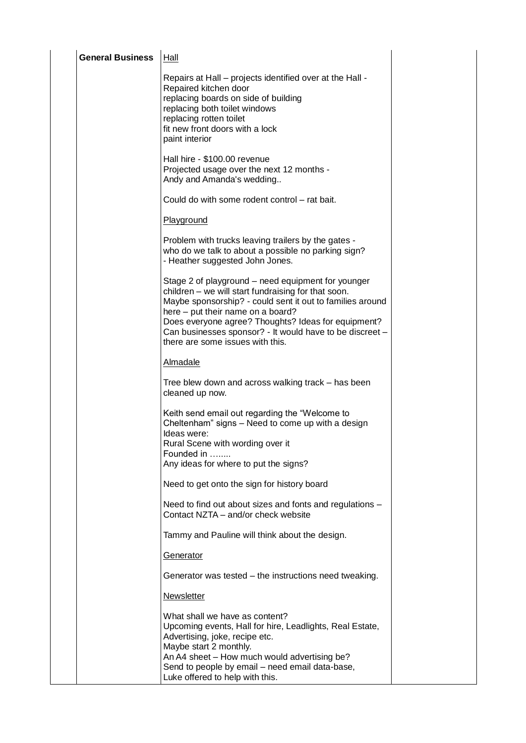| <b>General Business</b> | <b>Hall</b>                                                                                                                                                                                                                                                                                                                                                        |  |
|-------------------------|--------------------------------------------------------------------------------------------------------------------------------------------------------------------------------------------------------------------------------------------------------------------------------------------------------------------------------------------------------------------|--|
|                         | Repairs at Hall – projects identified over at the Hall -<br>Repaired kitchen door<br>replacing boards on side of building<br>replacing both toilet windows<br>replacing rotten toilet<br>fit new front doors with a lock<br>paint interior                                                                                                                         |  |
|                         | Hall hire - \$100.00 revenue<br>Projected usage over the next 12 months -<br>Andy and Amanda's wedding                                                                                                                                                                                                                                                             |  |
|                         | Could do with some rodent control - rat bait.                                                                                                                                                                                                                                                                                                                      |  |
|                         | Playground                                                                                                                                                                                                                                                                                                                                                         |  |
|                         | Problem with trucks leaving trailers by the gates -<br>who do we talk to about a possible no parking sign?<br>- Heather suggested John Jones.                                                                                                                                                                                                                      |  |
|                         | Stage 2 of playground – need equipment for younger<br>children - we will start fundraising for that soon.<br>Maybe sponsorship? - could sent it out to families around<br>here – put their name on a board?<br>Does everyone agree? Thoughts? Ideas for equipment?<br>Can businesses sponsor? - It would have to be discreet -<br>there are some issues with this. |  |
|                         | <b>Almadale</b>                                                                                                                                                                                                                                                                                                                                                    |  |
|                         | Tree blew down and across walking track – has been<br>cleaned up now.                                                                                                                                                                                                                                                                                              |  |
|                         | Keith send email out regarding the "Welcome to<br>Cheltenham" signs - Need to come up with a design<br>Ideas were:<br>Rural Scene with wording over it<br>Founded in                                                                                                                                                                                               |  |
|                         | Any ideas for where to put the signs?                                                                                                                                                                                                                                                                                                                              |  |
|                         | Need to get onto the sign for history board                                                                                                                                                                                                                                                                                                                        |  |
|                         | Need to find out about sizes and fonts and regulations -<br>Contact NZTA – and/or check website                                                                                                                                                                                                                                                                    |  |
|                         | Tammy and Pauline will think about the design.                                                                                                                                                                                                                                                                                                                     |  |
|                         | Generator                                                                                                                                                                                                                                                                                                                                                          |  |
|                         | Generator was tested - the instructions need tweaking.                                                                                                                                                                                                                                                                                                             |  |
|                         | <b>Newsletter</b>                                                                                                                                                                                                                                                                                                                                                  |  |
|                         | What shall we have as content?<br>Upcoming events, Hall for hire, Leadlights, Real Estate,<br>Advertising, joke, recipe etc.<br>Maybe start 2 monthly.<br>An A4 sheet - How much would advertising be?<br>Send to people by email – need email data-base,<br>Luke offered to help with this.                                                                       |  |
|                         |                                                                                                                                                                                                                                                                                                                                                                    |  |